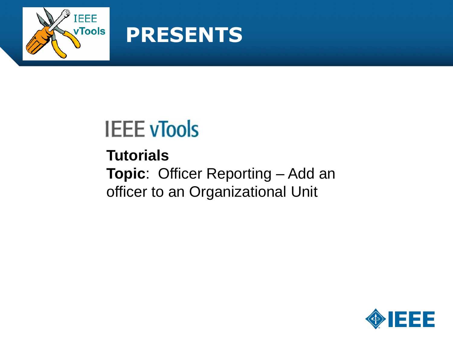

#### **PRESENTS**

### **IEEE vTools**

**Tutorials Topic**: Officer Reporting – Add an officer to an Organizational Unit

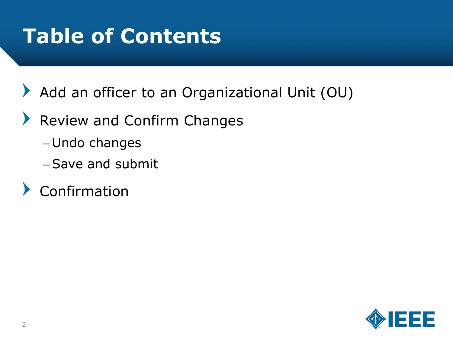### **Table of Contents**

- $\blacktriangleright$ Add an officer to an Organizational Unit (OU)
- $\blacktriangleright$ Review and Confirm Changes
	- Undo changes
	- –Save and submit
- Confirmation

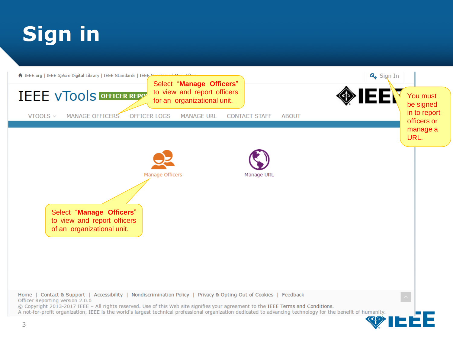# **Sign in**

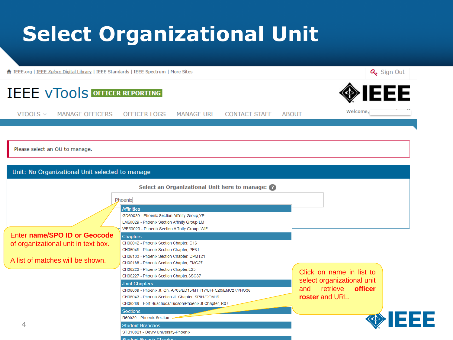### **Select Organizational Unit**

← IEEE.org | IEEE Xplore Digital Library | IEEE Standards | IEEE Spectrum | More Sites

Q<sub>s</sub> Sign Out



CH06039 - Phoenix Jt. Ch, AP03/ED15/MTT17/UFFC20/EMC27/PHO36

CH06043 - Phoenix Section Jt. Chapter, SP01/COM19 CH06289 - Fort Huachuca/Tucson/Phoenix Jt Chapter, R07

**Sections** 

R60029 - Phoenix Section **Student Branches** 

STB10821 - Devry University-Phoenix **Chudont Branch Chaptors** 

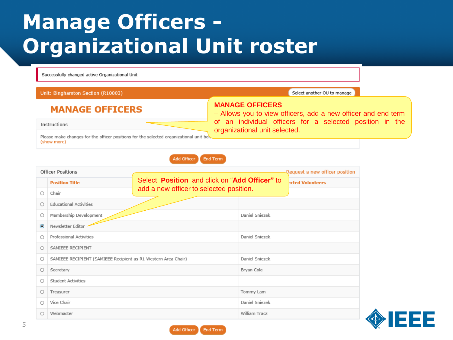#### **Manage Officers - Organizational Unit roster**

Successfully changed active Organizational Unit

#### Unit: Binghamton Section (R10003)

Select another OU to manage

#### **MANAGE OFFICERS**

Instructions

– Allows you to view officers, add a new officer and end term of an individual officers for a selected position in the organizational unit selected.

Please make changes for the officer positions for the selected organizational unit bely (show more)

> Add Officer **End Term**

**MANAGE OFFICERS**

| <b>Officer Positions</b> |                                                                |                                               | Request a new officer position |  |
|--------------------------|----------------------------------------------------------------|-----------------------------------------------|--------------------------------|--|
|                          | <b>Position Title</b>                                          | Select Position and click on "Add Officer" to | <b>Acted Volunteers</b>        |  |
| O                        | Chair                                                          | add a new officer to selected position.       |                                |  |
| O                        | <b>Educational Activities</b>                                  |                                               |                                |  |
| О                        | Membership Development                                         |                                               | Daniel Sniezek                 |  |
| Ö                        | Newsletter Editor                                              |                                               |                                |  |
| O                        | Professional Activities                                        |                                               | Daniel Sniezek                 |  |
| $\circ$                  | SAMIEEE RECIPIENT                                              |                                               |                                |  |
| O                        | SAMIEEE RECIPIENT (SAMIEEE Recipient as R1 Western Area Chair) |                                               | Daniel Sniezek                 |  |
| O                        | Secretary                                                      |                                               | Bryan Cole                     |  |
| О                        | Student Activities                                             |                                               |                                |  |
| О                        | Treasurer                                                      |                                               | Tommy Lam                      |  |
| $\circ$                  | Vice Chair                                                     |                                               | Daniel Sniezek                 |  |
| $\circ$                  | Webmaster                                                      |                                               | William Tracz                  |  |

Add Officer

**End Term** 

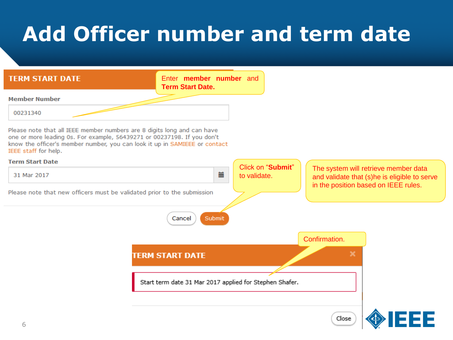# **Add Officer number and term date**

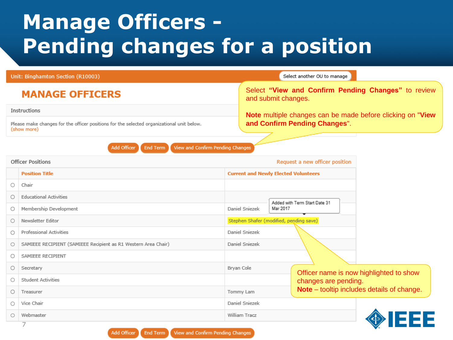#### **Manage Officers - Pending changes for a position**

| Unit: Binghamton Section (R10003)                                                                        |                                                                | Select another OU to manage                                                |  |  |
|----------------------------------------------------------------------------------------------------------|----------------------------------------------------------------|----------------------------------------------------------------------------|--|--|
| <b>MANAGE OFFICERS</b>                                                                                   |                                                                | Select "View and Confirm Pending Changes" to review<br>and submit changes. |  |  |
| Instructions                                                                                             |                                                                | Note multiple changes can be made before clicking on "View"                |  |  |
| Please make changes for the officer positions for the selected organizational unit below.<br>(show more) |                                                                | and Confirm Pending Changes".                                              |  |  |
| View and Confirm Pending Changes<br>Add Officer<br><b>End Term</b>                                       |                                                                |                                                                            |  |  |
| <b>Officer Positions</b>                                                                                 |                                                                | Request a new officer position                                             |  |  |
|                                                                                                          | <b>Position Title</b>                                          | <b>Current and Newly Elected Volunteers</b>                                |  |  |
| О                                                                                                        | Chair                                                          |                                                                            |  |  |
| О                                                                                                        | <b>Educational Activities</b>                                  |                                                                            |  |  |
| Ο                                                                                                        | Membership Development                                         | Added with Term Start Date 31<br>Mar 2017<br>Daniel Sniezek                |  |  |
| О                                                                                                        | Newsletter Editor                                              | Stephen Shafer (modified, pending save)                                    |  |  |
| Ο                                                                                                        | Professional Activities                                        | Daniel Sniezek                                                             |  |  |
| O                                                                                                        | SAMIEEE RECIPIENT (SAMIEEE Recipient as R1 Western Area Chair) | Daniel Sniezek                                                             |  |  |
| Ο                                                                                                        | SAMIEEE RECIPIENT                                              |                                                                            |  |  |
| Ο                                                                                                        | Secretary                                                      | Bryan Cole<br>Officer name is now highlighted to show                      |  |  |
| О                                                                                                        | <b>Student Activities</b>                                      | changes are pending.                                                       |  |  |
| Ο                                                                                                        | Treasurer                                                      | Note - tooltip includes details of change.<br>Tommy Lam                    |  |  |
| Ο                                                                                                        | Vice Chair                                                     | Daniel Sniezek<br>William Tracz<br>1333                                    |  |  |
| O                                                                                                        | Webmaster                                                      |                                                                            |  |  |
|                                                                                                          | 7                                                              |                                                                            |  |  |

Add Officer **End Term** View and Confirm Pending Changes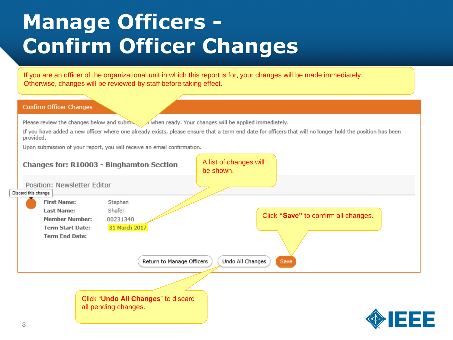### **Manage Officers - Confirm Officer Changes**

If you are an officer of the organizational unit in which this report is for, your changes will be made immediately. Otherwise, changes will be reviewed by staff before taking effect.

#### Confirm Officer Changes

Please review the changes below and submer when ready. Your changes will be applied immediately.

If you have added a new officer where one already exists, please ensure that a term end date for officers that will no longer hold the position has been provided.

Upon submission of your report, you will receive an email confirmation.

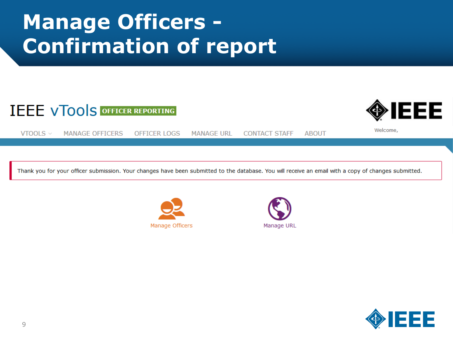### **Manage Officers - Confirmation of report**

#### **IEEE VTOOLS OFFICER REPORTING**



Welcome.

VTOOLS  $\vee$ **MANAGE OFFICERS OFFICER LOGS MANAGE URL CONTACT STAFF ABOUT** 

Thank you for your officer submission. Your changes have been submitted to the database. You will receive an email with a copy of changes submitted.